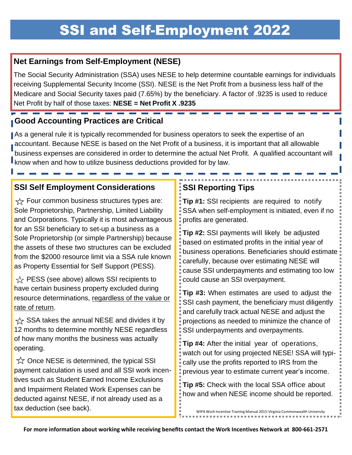#### **Net Earnings from Self-Employment (NESE)**

The Social Security Administration (SSA) uses NESE to help determine countable earnings for individuals receiving Supplemental Security Income (SSI). NESE is the Net Profit from a business less half of the Medicare and Social Security taxes paid (7.65%) by the beneficiary. A factor of .9235 is used to reduce Net Profit by half of those taxes: **NESE = Net Profit X .9235**

### **Good Accounting Practices are Critical**

As a general rule it is typically recommended for business operators to seek the expertise of an accountant. Because NESE is based on the Net Profit of a business, it is important that all allowable business expenses are considered in order to determine the actual Net Profit. A qualified accountant will **know when and how to utilize business deductions provided for by law.** 

#### **SSI Self Employment Considerations**

 $\frac{1}{2}$  Four common business structures types are: Sole Proprietorship, Partnership, Limited Liability and Corporations. Typically it is most advantageous for an SSI beneficiary to set-up a business as a Sole Proprietorship (or simple Partnership) because the assets of these two structures can be excluded from the \$2000 resource limit via a SSA rule known as Property Essential for Self Support (PESS).

 $\frac{1}{2}$  PESS (see above) allows SSI recipients to have certain business property excluded during resource determinations, regardless of the value or rate of return.

 $\chi$  SSA takes the annual NESE and divides it by 12 months to determine monthly NESE regardless of how many months the business was actually operating.

 $\hat{\mathbb{X}}$  Once NESE is determined, the typical SSI payment calculation is used and all SSI work incentives such as Student Earned Income Exclusions and Impairment Related Work Expenses can be deducted against NESE, if not already used as a tax deduction (see back).

### **SSI Reporting Tips**

**Tip #1:** SSI recipients are required to notify SSA when self-employment is initiated, even if no profits are generated.

**Tip #2:** SSI payments will likely be adjusted based on estimated profits in the initial year of business operations. Beneficiaries should estimate carefully, because over estimating NESE will cause SSI underpayments and estimating too low could cause an SSI overpayment.

**Tip #3:** When estimates are used to adjust the SSI cash payment, the beneficiary must diligently and carefully track actual NESE and adjust the projections as needed to minimize the chance of SSI underpayments and overpayments.

**Tip #4:** After the initial year of operations, watch out for using projected NESE! SSA will typically use the profits reported to IRS from the previous year to estimate current year's income.

**Tip #5:** Check with the local SSA office about how and when NESE income should be reported.

WIPA Work Incentive Training Manual 2015-Virginia Commonwealth University